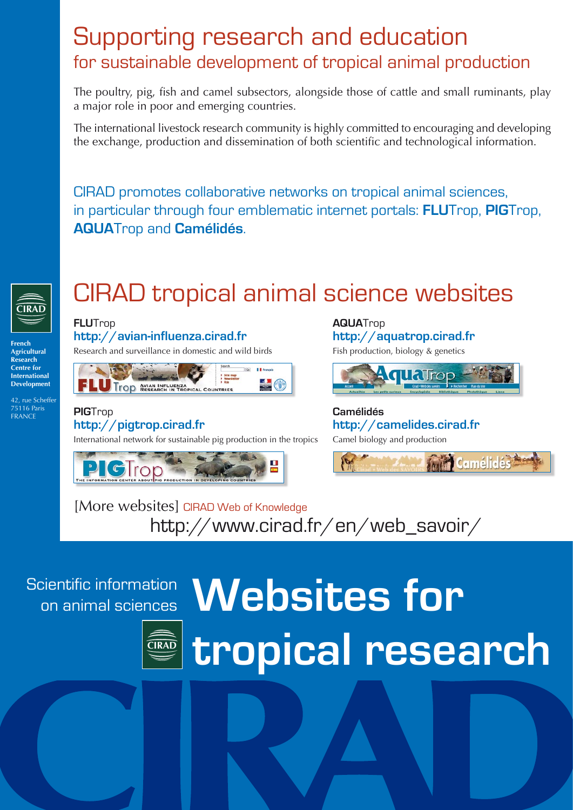### Supporting research and education for sustainable development of tropical animal production

The poultry, pig, fish and camel subsectors, alongside those of cattle and small ruminants, play a major role in poor and emerging countries.

The international livestock research community is highly committed to encouraging and developing the exchange, production and dissemination of both scientific and technological information.

CIRAD promotes collaborative networks on tropical animal sciences, in particular through four emblematic internet portals: **Flu**Trop, **PIG**Trop, **AQUA**Trop and **Camélidés**.



# CIRAD tropical animal science websites

**French Agricultural Research Centre for International Development**

42, rue Scheffer 75116 Paris **FRANCE** 

**FLU**Trop **http://avian-influenza.cirad.fr** Research and surveillance in domestic and wild birds



**PIG**Trop **http://pigtrop.cirad.fr**

International network for sustainable pig production in the tropics



**AQUA**Trop **http://aquatrop.cirad.fr** Fish production, biology & genetics



**Camélidés http://camelides.cirad.fr** Camel biology and production



[More websites] CIRAD Web of Knowledge http://www.cirad.fr/en/web\_savoir/

Scientific information



# on animal sciences **Websites for tropical research**